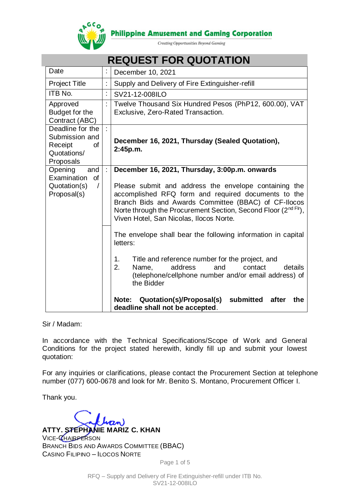

**Philippine Amusement and Gaming Corporation** 

Creating Opportunities Beyond Gaming

| <b>REQUEST FOR QUOTATION</b>                                                           |   |                                                                                                                                                                                                                                                                                                                                                                                                                                                                                                                                                                                                                               |  |  |
|----------------------------------------------------------------------------------------|---|-------------------------------------------------------------------------------------------------------------------------------------------------------------------------------------------------------------------------------------------------------------------------------------------------------------------------------------------------------------------------------------------------------------------------------------------------------------------------------------------------------------------------------------------------------------------------------------------------------------------------------|--|--|
| Date                                                                                   |   | December 10, 2021                                                                                                                                                                                                                                                                                                                                                                                                                                                                                                                                                                                                             |  |  |
| <b>Project Title</b>                                                                   |   | Supply and Delivery of Fire Extinguisher-refill                                                                                                                                                                                                                                                                                                                                                                                                                                                                                                                                                                               |  |  |
| <b>ITB No.</b>                                                                         | t | SV21-12-008ILO                                                                                                                                                                                                                                                                                                                                                                                                                                                                                                                                                                                                                |  |  |
| Approved<br>Budget for the<br>Contract (ABC)                                           |   | Twelve Thousand Six Hundred Pesos (PhP12, 600.00), VAT<br>Exclusive, Zero-Rated Transaction.                                                                                                                                                                                                                                                                                                                                                                                                                                                                                                                                  |  |  |
| Deadline for the<br>Submission and<br>Receipt<br><b>of</b><br>Quotations/<br>Proposals |   | December 16, 2021, Thursday (Sealed Quotation),<br>2:45p.m.                                                                                                                                                                                                                                                                                                                                                                                                                                                                                                                                                                   |  |  |
| Opening<br>and<br>Examination<br>of<br>Quotation(s)<br>$\prime$<br>Proposal(s)         |   | December 16, 2021, Thursday, 3:00p.m. onwards<br>Please submit and address the envelope containing the<br>accomplished RFQ form and required documents to the<br>Branch Bids and Awards Committee (BBAC) of CF-Ilocos<br>Norte through the Procurement Section, Second Floor (2 <sup>nd Fir</sup> ),<br>Viven Hotel, San Nicolas, Ilocos Norte.<br>The envelope shall bear the following information in capital<br>letters:<br>Title and reference number for the project, and<br>1 <sub>1</sub><br>address<br>2.<br>and<br>details<br>Name,<br>contact<br>(telephone/cellphone number and/or email address) of<br>the Bidder |  |  |
|                                                                                        |   | Quotation(s)/Proposal(s)<br>submitted<br>after<br>the<br>Note:<br>deadline shall not be accepted.                                                                                                                                                                                                                                                                                                                                                                                                                                                                                                                             |  |  |

# **REQUEST FOR QUOTATION**

Sir / Madam:

In accordance with the Technical Specifications/Scope of Work and General Conditions for the project stated herewith, kindly fill up and submit your lowest quotation:

For any inquiries or clarifications, please contact the Procurement Section at telephone number (077) 600-0678 and look for Mr. Benito S. Montano, Procurement Officer I.

Thank you.

**ATTY. STEPHANIE MARIZ C. KHAN** VICE-CHAIRPERSON BRANCH BIDS AND AWARDS COMMITTEE (BBAC) CASINO FILIPINO – ILOCOS NORTE

Page 1 of 5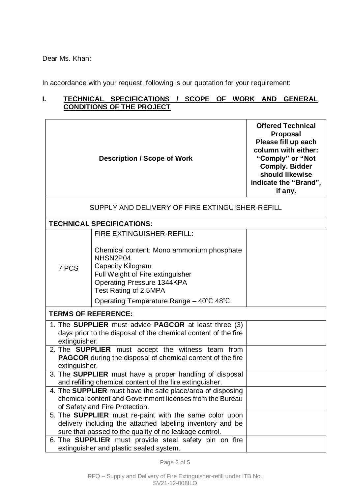Dear Ms. Khan:

In accordance with your request, following is our quotation for your requirement:

# **I. TECHNICAL SPECIFICATIONS / SCOPE OF WORK AND GENERAL CONDITIONS OF THE PROJECT**

|                                                                                                         | <b>Offered Technical</b><br><b>Proposal</b><br>Please fill up each<br>column with either:<br>"Comply" or "Not<br><b>Comply. Bidder</b><br>should likewise<br>indicate the "Brand",<br>if any. |  |  |  |  |
|---------------------------------------------------------------------------------------------------------|-----------------------------------------------------------------------------------------------------------------------------------------------------------------------------------------------|--|--|--|--|
|                                                                                                         | SUPPLY AND DELIVERY OF FIRE EXTINGUISHER-REFILL                                                                                                                                               |  |  |  |  |
|                                                                                                         | <b>TECHNICAL SPECIFICATIONS:</b>                                                                                                                                                              |  |  |  |  |
|                                                                                                         | FIRE EXTINGUISHER-REFILL:                                                                                                                                                                     |  |  |  |  |
| 7 PCS                                                                                                   | Chemical content: Mono ammonium phosphate<br>NHSN2P04<br>Capacity Kilogram<br>Full Weight of Fire extinguisher<br><b>Operating Pressure 1344KPA</b><br>Test Rating of 2.5MPA                  |  |  |  |  |
|                                                                                                         | Operating Temperature Range $-40^{\circ}$ C 48°C                                                                                                                                              |  |  |  |  |
|                                                                                                         | <b>TERMS OF REFERENCE:</b>                                                                                                                                                                    |  |  |  |  |
| extinguisher.                                                                                           | 1. The <b>SUPPLIER</b> must advice <b>PAGCOR</b> at least three (3)<br>days prior to the disposal of the chemical content of the fire                                                         |  |  |  |  |
| extinguisher.                                                                                           | 2. The <b>SUPPLIER</b> must accept the witness team from<br><b>PAGCOR</b> during the disposal of chemical content of the fire                                                                 |  |  |  |  |
|                                                                                                         | 3. The <b>SUPPLIER</b> must have a proper handling of disposal<br>and refilling chemical content of the fire extinguisher.                                                                    |  |  |  |  |
|                                                                                                         | 4. The SUPPLIER must have the safe place/area of disposing                                                                                                                                    |  |  |  |  |
|                                                                                                         | chemical content and Government licenses from the Bureau                                                                                                                                      |  |  |  |  |
|                                                                                                         | of Safety and Fire Protection.<br>5. The <b>SUPPLIER</b> must re-paint with the same color upon                                                                                               |  |  |  |  |
|                                                                                                         | delivery including the attached labeling inventory and be<br>sure that passed to the quality of no leakage control.                                                                           |  |  |  |  |
| 6. The <b>SUPPLIER</b> must provide steel safety pin on fire<br>extinguisher and plastic sealed system. |                                                                                                                                                                                               |  |  |  |  |

Page 2 of 5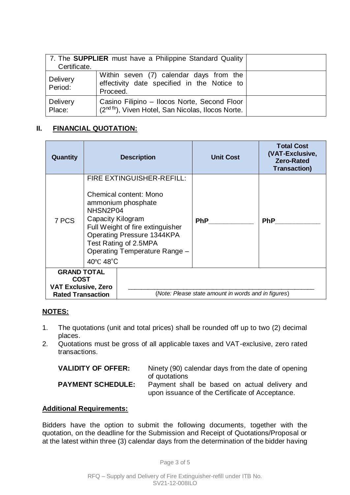| 7. The <b>SUPPLIER</b> must have a Philippine Standard Quality<br>Certificate. |                                                                                                                 |  |
|--------------------------------------------------------------------------------|-----------------------------------------------------------------------------------------------------------------|--|
| Delivery<br>Period:                                                            | Within seven (7) calendar days from the<br>effectivity date specified in the Notice to<br>Proceed.              |  |
| Delivery<br>Place:                                                             | Casino Filipino - Ilocos Norte, Second Floor<br>(2 <sup>nd flr</sup> ), Viven Hotel, San Nicolas, Ilocos Norte. |  |

# **II. FINANCIAL QUOTATION:**

| Quantity                                                                             |                                                                                                                                                                                                                                                                   | <b>Description</b> | <b>Unit Cost</b>                                    | <b>Total Cost</b><br>(VAT-Exclusive,<br><b>Zero-Rated</b><br><b>Transaction)</b> |
|--------------------------------------------------------------------------------------|-------------------------------------------------------------------------------------------------------------------------------------------------------------------------------------------------------------------------------------------------------------------|--------------------|-----------------------------------------------------|----------------------------------------------------------------------------------|
| 7 PCS                                                                                | FIRE EXTINGUISHER-REFILL:<br><b>Chemical content: Mono</b><br>ammonium phosphate<br>NHSN2P04<br>Capacity Kilogram<br>Full Weight of fire extinguisher<br><b>Operating Pressure 1344KPA</b><br>Test Rating of 2.5MPA<br>Operating Temperature Range -<br>40°C 48°C |                    | <b>PhP</b>                                          | <b>PhP</b>                                                                       |
| <b>GRAND TOTAL</b><br>COST<br><b>VAT Exclusive, Zero</b><br><b>Rated Transaction</b> |                                                                                                                                                                                                                                                                   |                    | (Note: Please state amount in words and in figures) |                                                                                  |

#### **NOTES:**

- 1. The quotations (unit and total prices) shall be rounded off up to two (2) decimal places.
- 2. Quotations must be gross of all applicable taxes and VAT-exclusive, zero rated transactions.

| <b>VALIDITY OF OFFER:</b> | Ninety (90) calendar days from the date of opening                                                                |
|---------------------------|-------------------------------------------------------------------------------------------------------------------|
| <b>PAYMENT SCHEDULE:</b>  | of quotations<br>Payment shall be based on actual delivery and<br>upon issuance of the Certificate of Acceptance. |

## **Additional Requirements:**

Bidders have the option to submit the following documents, together with the quotation, on the deadline for the Submission and Receipt of Quotations/Proposal or at the latest within three (3) calendar days from the determination of the bidder having

Page 3 of 5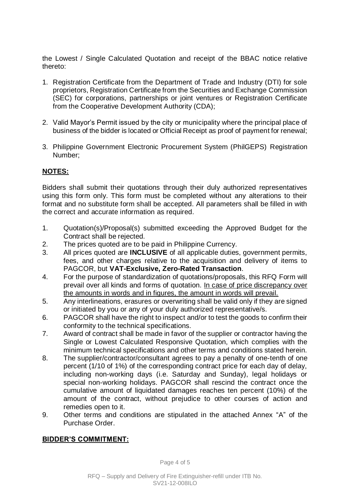the Lowest / Single Calculated Quotation and receipt of the BBAC notice relative thereto:

- 1. Registration Certificate from the Department of Trade and Industry (DTI) for sole proprietors, Registration Certificate from the Securities and Exchange Commission (SEC) for corporations, partnerships or joint ventures or Registration Certificate from the Cooperative Development Authority (CDA);
- 2. Valid Mayor's Permit issued by the city or municipality where the principal place of business of the bidder is located or Official Receipt as proof of payment for renewal;
- 3. Philippine Government Electronic Procurement System (PhilGEPS) Registration Number;

## **NOTES:**

Bidders shall submit their quotations through their duly authorized representatives using this form only. This form must be completed without any alterations to their format and no substitute form shall be accepted. All parameters shall be filled in with the correct and accurate information as required.

- 1. Quotation(s)/Proposal(s) submitted exceeding the Approved Budget for the Contract shall be rejected.
- 2. The prices quoted are to be paid in Philippine Currency.
- 3. All prices quoted are **INCLUSIVE** of all applicable duties, government permits, fees, and other charges relative to the acquisition and delivery of items to PAGCOR, but **VAT-Exclusive, Zero-Rated Transaction**.
- 4. For the purpose of standardization of quotations/proposals, this RFQ Form will prevail over all kinds and forms of quotation. In case of price discrepancy over the amounts in words and in figures, the amount in words will prevail.
- 5. Any interlineations, erasures or overwriting shall be valid only if they are signed or initiated by you or any of your duly authorized representative/s.
- 6. PAGCOR shall have the right to inspect and/or to test the goods to confirm their conformity to the technical specifications.
- 7. Award of contract shall be made in favor of the supplier or contractor having the Single or Lowest Calculated Responsive Quotation, which complies with the minimum technical specifications and other terms and conditions stated herein.
- 8. The supplier/contractor/consultant agrees to pay a penalty of one-tenth of one percent (1/10 of 1%) of the corresponding contract price for each day of delay, including non-working days (i.e. Saturday and Sunday), legal holidays or special non-working holidays. PAGCOR shall rescind the contract once the cumulative amount of liquidated damages reaches ten percent (10%) of the amount of the contract, without prejudice to other courses of action and remedies open to it.
- 9. Other terms and conditions are stipulated in the attached Annex "A" of the Purchase Order.

#### **BIDDER'S COMMITMENT:**

Page 4 of 5